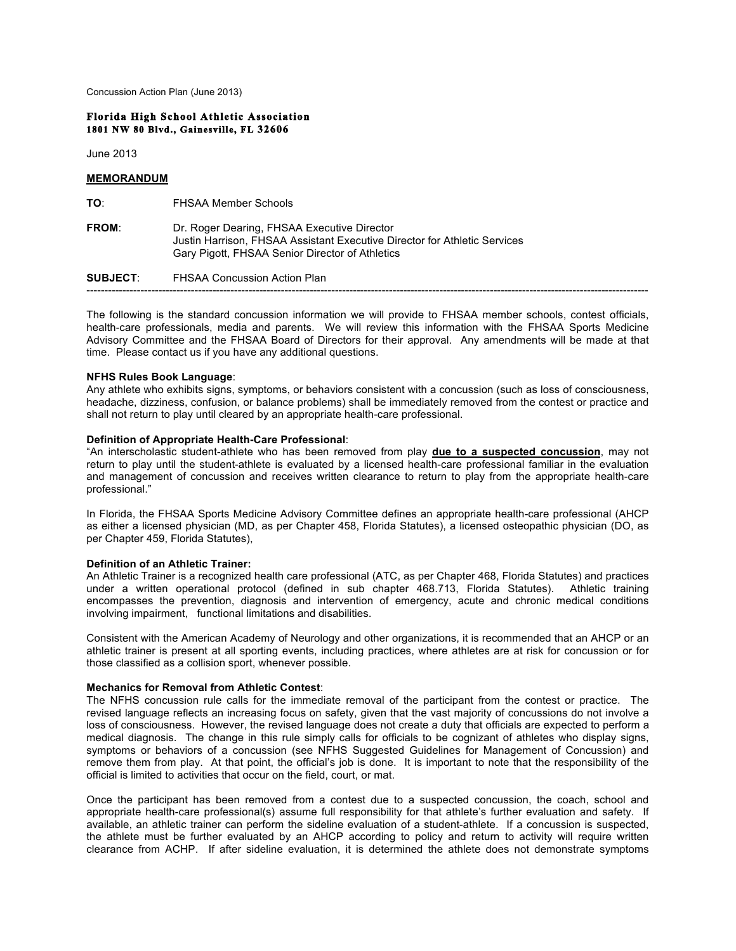Concussion Action Plan (June 2013)

#### **Florida High School Athletic Association 1801 NW 80 Blvd., Gainesville, FL 32606**

June 2013

# **MEMORANDUM**

| TO∶             | <b>FHSAA Member Schools</b>                                                                                                                                                 |
|-----------------|-----------------------------------------------------------------------------------------------------------------------------------------------------------------------------|
| <b>FROM:</b>    | Dr. Roger Dearing, FHSAA Executive Director<br>Justin Harrison, FHSAA Assistant Executive Director for Athletic Services<br>Gary Pigott, FHSAA Senior Director of Athletics |
| <b>SUBJECT:</b> | FHSAA Concussion Action Plan                                                                                                                                                |
|                 |                                                                                                                                                                             |

The following is the standard concussion information we will provide to FHSAA member schools, contest officials, health-care professionals, media and parents. We will review this information with the FHSAA Sports Medicine Advisory Committee and the FHSAA Board of Directors for their approval. Any amendments will be made at that time. Please contact us if you have any additional questions.

## **NFHS Rules Book Language**:

Any athlete who exhibits signs, symptoms, or behaviors consistent with a concussion (such as loss of consciousness, headache, dizziness, confusion, or balance problems) shall be immediately removed from the contest or practice and shall not return to play until cleared by an appropriate health-care professional.

#### **Definition of Appropriate Health-Care Professional**:

"An interscholastic student-athlete who has been removed from play **due to a suspected concussion**, may not return to play until the student-athlete is evaluated by a licensed health-care professional familiar in the evaluation and management of concussion and receives written clearance to return to play from the appropriate health-care professional."

In Florida, the FHSAA Sports Medicine Advisory Committee defines an appropriate health-care professional (AHCP as either a licensed physician (MD, as per Chapter 458, Florida Statutes), a licensed osteopathic physician (DO, as per Chapter 459, Florida Statutes),

## **Definition of an Athletic Trainer:**

An Athletic Trainer is a recognized health care professional (ATC, as per Chapter 468, Florida Statutes) and practices under a written operational protocol (defined in sub chapter 468.713, Florida Statutes). Athletic training encompasses the prevention, diagnosis and intervention of emergency, acute and chronic medical conditions involving impairment, functional limitations and disabilities.

Consistent with the American Academy of Neurology and other organizations, it is recommended that an AHCP or an athletic trainer is present at all sporting events, including practices, where athletes are at risk for concussion or for those classified as a collision sport, whenever possible.

#### **Mechanics for Removal from Athletic Contest**:

The NFHS concussion rule calls for the immediate removal of the participant from the contest or practice. The revised language reflects an increasing focus on safety, given that the vast majority of concussions do not involve a loss of consciousness. However, the revised language does not create a duty that officials are expected to perform a medical diagnosis. The change in this rule simply calls for officials to be cognizant of athletes who display signs, symptoms or behaviors of a concussion (see NFHS Suggested Guidelines for Management of Concussion) and remove them from play. At that point, the official's job is done. It is important to note that the responsibility of the official is limited to activities that occur on the field, court, or mat.

Once the participant has been removed from a contest due to a suspected concussion, the coach, school and appropriate health-care professional(s) assume full responsibility for that athlete's further evaluation and safety. If available, an athletic trainer can perform the sideline evaluation of a student-athlete. If a concussion is suspected, the athlete must be further evaluated by an AHCP according to policy and return to activity will require written clearance from ACHP. If after sideline evaluation, it is determined the athlete does not demonstrate symptoms